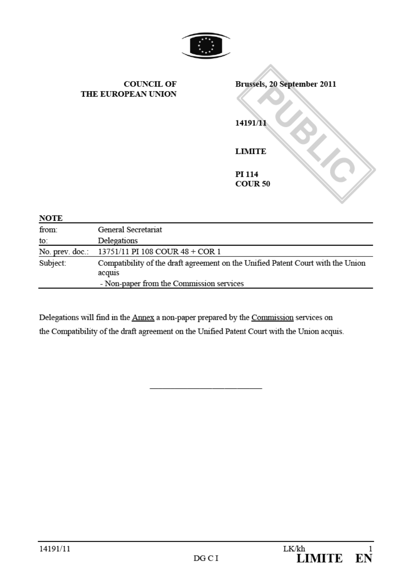

|                      | <b>COUNCIL OF</b><br>THE EUROPEAN UNION         | Brussels, 20 September 2011<br>14191/11<br><b>LIMITE</b><br>PI 114<br><b>COUR 50</b> |
|----------------------|-------------------------------------------------|--------------------------------------------------------------------------------------|
| <b>NOTE</b><br>from: | General Secretariat                             |                                                                                      |
|                      |                                                 |                                                                                      |
| to:                  | Delegations                                     |                                                                                      |
|                      | No. prev. doc.: 13751/11 PI 108 COUR 48 + COR 1 |                                                                                      |

∧

Subject: Compatibility of the draft agreement on the Unified Patent Court with the Union acquis - Non-paper from the Commission services

Delegations will find in the Annex a non-paper prepared by the Commission services on the Compatibility of the draft agreement on the Unified Patent Court with the Union acquis.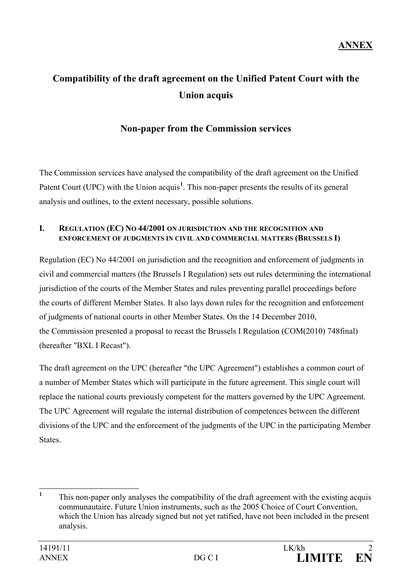# **Compatibility of the draft agreement on the Unified Patent Court with the Union acquis**

# **Non-paper from the Commission services**

The Commission services have analysed the compatibility of the draft agreement on the Unified Patent Court (UPC) with the Union acquis<sup>[1](#page-1-0)</sup>. This non-paper presents the results of its general analysis and outlines, to the extent necessary, possible solutions.

#### **I. REGULATION (EC) NO 44/2001 ON JURISDICTION AND THE RECOGNITION AND ENFORCEMENT OF JUDGMENTS IN CIVIL AND COMMERCIAL MATTERS (BRUSSELS I)**

Regulation (EC) No 44/2001 on jurisdiction and the recognition and enforcement of judgments in civil and commercial matters (the Brussels I Regulation) sets out rules determining the international jurisdiction of the courts of the Member States and rules preventing parallel proceedings before the courts of different Member States. It also lays down rules for the recognition and enforcement of judgments of national courts in other Member States. On the 14 December 2010, the Commission presented a proposal to recast the Brussels I Regulation (COM(2010) 748final) (hereafter "BXL I Recast").

The draft agreement on the UPC (hereafter "the UPC Agreement") establishes a common court of a number of Member States which will participate in the future agreement. This single court will replace the national courts previously competent for the matters governed by the UPC Agreement. The UPC Agreement will regulate the internal distribution of competences between the different divisions of the UPC and the enforcement of the judgments of the UPC in the participating Member States.

<span id="page-1-0"></span><sup>&</sup>lt;sup>1</sup> This non-paper only analyses the compatibility of the draft agreement with the existing acquis communautaire. Future Union instruments, such as the 2005 Choice of Court Convention, which the Union has already signed but not yet ratified, have not been included in the present analysis.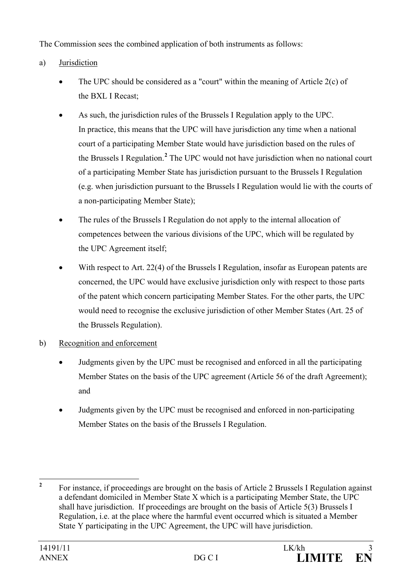The Commission sees the combined application of both instruments as follows:

# a) Jurisdiction

- The UPC should be considered as a "court" within the meaning of Article  $2(c)$  of the BXL I Recast;
- As such, the jurisdiction rules of the Brussels I Regulation apply to the UPC. In practice, this means that the UPC will have jurisdiction any time when a national court of a participating Member State would have jurisdiction based on the rules of the Brussels I Regulation.**[2](#page-2-0)** The UPC would not have jurisdiction when no national court of a participating Member State has jurisdiction pursuant to the Brussels I Regulation (e.g. when jurisdiction pursuant to the Brussels I Regulation would lie with the courts of a non-participating Member State);
- The rules of the Brussels I Regulation do not apply to the internal allocation of competences between the various divisions of the UPC, which will be regulated by the UPC Agreement itself;
- With respect to Art. 22(4) of the Brussels I Regulation, insofar as European patents are concerned, the UPC would have exclusive jurisdiction only with respect to those parts of the patent which concern participating Member States. For the other parts, the UPC would need to recognise the exclusive jurisdiction of other Member States (Art. 25 of the Brussels Regulation).

## b) Recognition and enforcement

- Judgments given by the UPC must be recognised and enforced in all the participating Member States on the basis of the UPC agreement (Article 56 of the draft Agreement); and
- Judgments given by the UPC must be recognised and enforced in non-participating Member States on the basis of the Brussels I Regulation.

<span id="page-2-0"></span><sup>&</sup>lt;sup>2</sup> For instance, if proceedings are brought on the basis of Article 2 Brussels I Regulation against a defendant domiciled in Member State X which is a participating Member State, the UPC shall have jurisdiction. If proceedings are brought on the basis of Article 5(3) Brussels I Regulation, i.e. at the place where the harmful event occurred which is situated a Member State Y participating in the UPC Agreement, the UPC will have jurisdiction.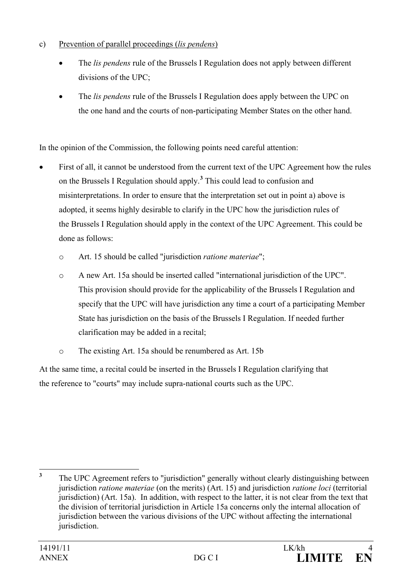- c) Prevention of parallel proceedings (*lis pendens*)
	- The *lis pendens* rule of the Brussels I Regulation does not apply between different divisions of the UPC;
	- The *lis pendens* rule of the Brussels I Regulation does apply between the UPC on the one hand and the courts of non-participating Member States on the other hand.

In the opinion of the Commission, the following points need careful attention:

- First of all, it cannot be understood from the current text of the UPC Agreement how the rules on the Brussels I Regulation should apply.**[3](#page-3-0)** This could lead to confusion and misinterpretations. In order to ensure that the interpretation set out in point a) above is adopted, it seems highly desirable to clarify in the UPC how the jurisdiction rules of the Brussels I Regulation should apply in the context of the UPC Agreement. This could be done as follows:
	- o Art. 15 should be called "jurisdiction *ratione materiae*";
	- o A new Art. 15a should be inserted called "international jurisdiction of the UPC". This provision should provide for the applicability of the Brussels I Regulation and specify that the UPC will have jurisdiction any time a court of a participating Member State has jurisdiction on the basis of the Brussels I Regulation. If needed further clarification may be added in a recital;
	- o The existing Art. 15a should be renumbered as Art. 15b

At the same time, a recital could be inserted in the Brussels I Regulation clarifying that the reference to "courts" may include supra-national courts such as the UPC.

<span id="page-3-0"></span><sup>&</sup>lt;sup>3</sup> The UPC Agreement refers to "jurisdiction" generally without clearly distinguishing between jurisdiction *ratione materiae* (on the merits) (Art. 15) and jurisdiction *ratione loci* (territorial jurisdiction) (Art. 15a). In addition, with respect to the latter, it is not clear from the text that the division of territorial jurisdiction in Article 15a concerns only the internal allocation of jurisdiction between the various divisions of the UPC without affecting the international jurisdiction.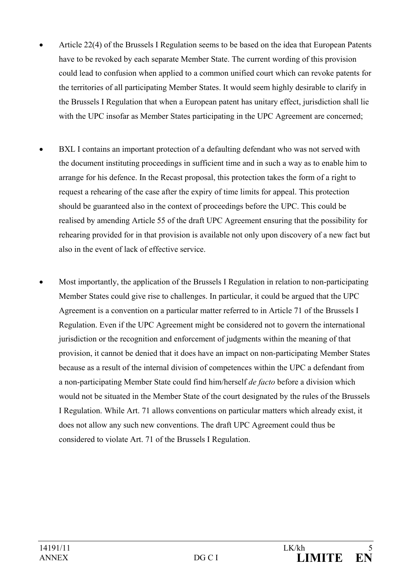- Article 22(4) of the Brussels I Regulation seems to be based on the idea that European Patents have to be revoked by each separate Member State. The current wording of this provision could lead to confusion when applied to a common unified court which can revoke patents for the territories of all participating Member States. It would seem highly desirable to clarify in the Brussels I Regulation that when a European patent has unitary effect, jurisdiction shall lie with the UPC insofar as Member States participating in the UPC Agreement are concerned;
- BXL I contains an important protection of a defaulting defendant who was not served with the document instituting proceedings in sufficient time and in such a way as to enable him to arrange for his defence. In the Recast proposal, this protection takes the form of a right to request a rehearing of the case after the expiry of time limits for appeal. This protection should be guaranteed also in the context of proceedings before the UPC. This could be realised by amending Article 55 of the draft UPC Agreement ensuring that the possibility for rehearing provided for in that provision is available not only upon discovery of a new fact but also in the event of lack of effective service.
- Most importantly, the application of the Brussels I Regulation in relation to non-participating Member States could give rise to challenges. In particular, it could be argued that the UPC Agreement is a convention on a particular matter referred to in Article 71 of the Brussels I Regulation. Even if the UPC Agreement might be considered not to govern the international jurisdiction or the recognition and enforcement of judgments within the meaning of that provision, it cannot be denied that it does have an impact on non-participating Member States because as a result of the internal division of competences within the UPC a defendant from a non-participating Member State could find him/herself *de facto* before a division which would not be situated in the Member State of the court designated by the rules of the Brussels I Regulation. While Art. 71 allows conventions on particular matters which already exist, it does not allow any such new conventions. The draft UPC Agreement could thus be considered to violate Art. 71 of the Brussels I Regulation.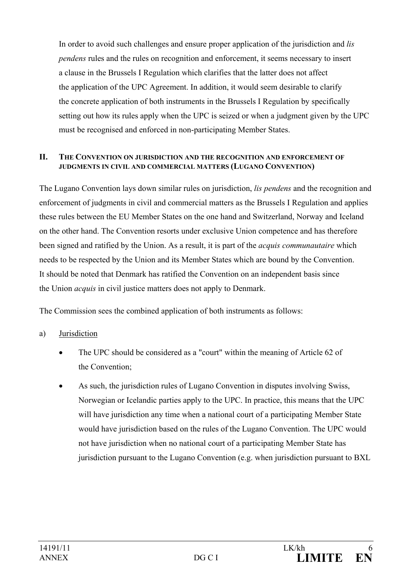In order to avoid such challenges and ensure proper application of the jurisdiction and *lis pendens* rules and the rules on recognition and enforcement, it seems necessary to insert a clause in the Brussels I Regulation which clarifies that the latter does not affect the application of the UPC Agreement. In addition, it would seem desirable to clarify the concrete application of both instruments in the Brussels I Regulation by specifically setting out how its rules apply when the UPC is seized or when a judgment given by the UPC must be recognised and enforced in non-participating Member States.

#### **II. THE CONVENTION ON JURISDICTION AND THE RECOGNITION AND ENFORCEMENT OF JUDGMENTS IN CIVIL AND COMMERCIAL MATTERS (LUGANO CONVENTION)**

The Lugano Convention lays down similar rules on jurisdiction, *lis pendens* and the recognition and enforcement of judgments in civil and commercial matters as the Brussels I Regulation and applies these rules between the EU Member States on the one hand and Switzerland, Norway and Iceland on the other hand. The Convention resorts under exclusive Union competence and has therefore been signed and ratified by the Union. As a result, it is part of the *acquis communautaire* which needs to be respected by the Union and its Member States which are bound by the Convention. It should be noted that Denmark has ratified the Convention on an independent basis since the Union *acquis* in civil justice matters does not apply to Denmark.

The Commission sees the combined application of both instruments as follows:

## a) Jurisdiction

- The UPC should be considered as a "court" within the meaning of Article 62 of the Convention;
- As such, the jurisdiction rules of Lugano Convention in disputes involving Swiss, Norwegian or Icelandic parties apply to the UPC. In practice, this means that the UPC will have jurisdiction any time when a national court of a participating Member State would have jurisdiction based on the rules of the Lugano Convention. The UPC would not have jurisdiction when no national court of a participating Member State has jurisdiction pursuant to the Lugano Convention (e.g. when jurisdiction pursuant to BXL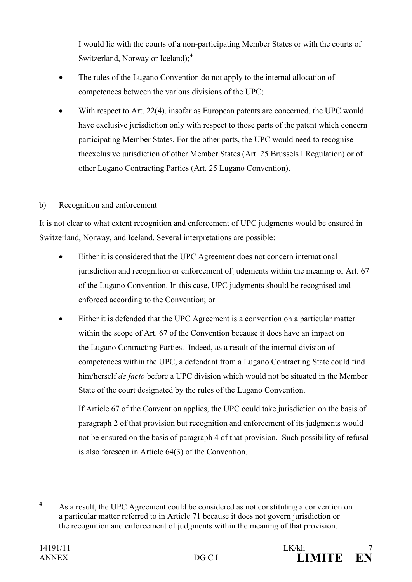I would lie with the courts of a non-participating Member States or with the courts of Switzerland, Norway or Iceland);**[4](#page-6-0)**

- The rules of the Lugano Convention do not apply to the internal allocation of competences between the various divisions of the UPC;
- With respect to Art. 22(4), insofar as European patents are concerned, the UPC would have exclusive jurisdiction only with respect to those parts of the patent which concern participating Member States. For the other parts, the UPC would need to recognise theexclusive jurisdiction of other Member States (Art. 25 Brussels I Regulation) or of other Lugano Contracting Parties (Art. 25 Lugano Convention).

## b) Recognition and enforcement

It is not clear to what extent recognition and enforcement of UPC judgments would be ensured in Switzerland, Norway, and Iceland. Several interpretations are possible:

- Either it is considered that the UPC Agreement does not concern international jurisdiction and recognition or enforcement of judgments within the meaning of Art. 67 of the Lugano Convention. In this case, UPC judgments should be recognised and enforced according to the Convention; or
- Either it is defended that the UPC Agreement is a convention on a particular matter within the scope of Art. 67 of the Convention because it does have an impact on the Lugano Contracting Parties. Indeed, as a result of the internal division of competences within the UPC, a defendant from a Lugano Contracting State could find him/herself *de facto* before a UPC division which would not be situated in the Member State of the court designated by the rules of the Lugano Convention.

If Article 67 of the Convention applies, the UPC could take jurisdiction on the basis of paragraph 2 of that provision but recognition and enforcement of its judgments would not be ensured on the basis of paragraph 4 of that provision. Such possibility of refusal is also foreseen in Article 64(3) of the Convention.

<span id="page-6-0"></span>**<sup>4</sup>** As a result, the UPC Agreement could be considered as not constituting a convention on a particular matter referred to in Article 71 because it does not govern jurisdiction or the recognition and enforcement of judgments within the meaning of that provision.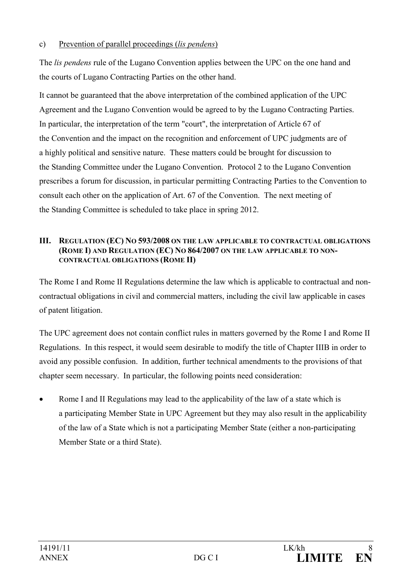### c) Prevention of parallel proceedings (*lis pendens*)

The *lis pendens* rule of the Lugano Convention applies between the UPC on the one hand and the courts of Lugano Contracting Parties on the other hand.

It cannot be guaranteed that the above interpretation of the combined application of the UPC Agreement and the Lugano Convention would be agreed to by the Lugano Contracting Parties. In particular, the interpretation of the term "court", the interpretation of Article 67 of the Convention and the impact on the recognition and enforcement of UPC judgments are of a highly political and sensitive nature. These matters could be brought for discussion to the Standing Committee under the Lugano Convention. Protocol 2 to the Lugano Convention prescribes a forum for discussion, in particular permitting Contracting Parties to the Convention to consult each other on the application of Art. 67 of the Convention. The next meeting of the Standing Committee is scheduled to take place in spring 2012.

#### **III. REGULATION (EC) NO 593/2008 ON THE LAW APPLICABLE TO CONTRACTUAL OBLIGATIONS (ROME I) AND REGULATION (EC) NO 864/2007 ON THE LAW APPLICABLE TO NON-CONTRACTUAL OBLIGATIONS (ROME II)**

The Rome I and Rome II Regulations determine the law which is applicable to contractual and noncontractual obligations in civil and commercial matters, including the civil law applicable in cases of patent litigation.

The UPC agreement does not contain conflict rules in matters governed by the Rome I and Rome II Regulations. In this respect, it would seem desirable to modify the title of Chapter IIIB in order to avoid any possible confusion. In addition, further technical amendments to the provisions of that chapter seem necessary. In particular, the following points need consideration:

Rome I and II Regulations may lead to the applicability of the law of a state which is a participating Member State in UPC Agreement but they may also result in the applicability of the law of a State which is not a participating Member State (either a non-participating Member State or a third State).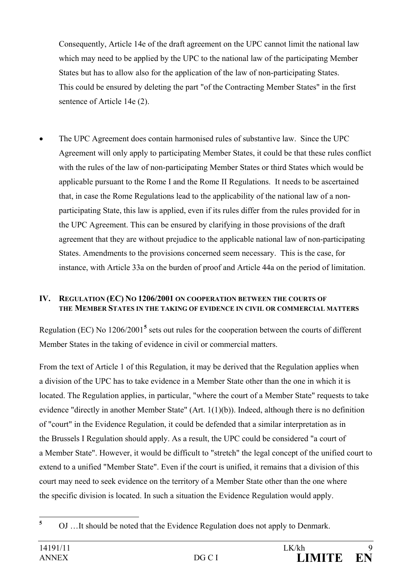Consequently, Article 14e of the draft agreement on the UPC cannot limit the national law which may need to be applied by the UPC to the national law of the participating Member States but has to allow also for the application of the law of non-participating States. This could be ensured by deleting the part "of the Contracting Member States" in the first sentence of Article 14e (2).

• The UPC Agreement does contain harmonised rules of substantive law. Since the UPC Agreement will only apply to participating Member States, it could be that these rules conflict with the rules of the law of non-participating Member States or third States which would be applicable pursuant to the Rome I and the Rome II Regulations. It needs to be ascertained that, in case the Rome Regulations lead to the applicability of the national law of a nonparticipating State, this law is applied, even if its rules differ from the rules provided for in the UPC Agreement. This can be ensured by clarifying in those provisions of the draft agreement that they are without prejudice to the applicable national law of non-participating States. Amendments to the provisions concerned seem necessary. This is the case, for instance, with Article 33a on the burden of proof and Article 44a on the period of limitation.

### **IV. REGULATION (EC) NO 1206/2001 ON COOPERATION BETWEEN THE COURTS OF THE MEMBER STATES IN THE TAKING OF EVIDENCE IN CIVIL OR COMMERCIAL MATTERS**

Regulation (EC) No 1206/2001**[5](#page-8-0)** sets out rules for the cooperation between the courts of different Member States in the taking of evidence in civil or commercial matters.

From the text of Article 1 of this Regulation, it may be derived that the Regulation applies when a division of the UPC has to take evidence in a Member State other than the one in which it is located. The Regulation applies, in particular, "where the court of a Member State" requests to take evidence "directly in another Member State" (Art. 1(1)(b)). Indeed, although there is no definition of "court" in the Evidence Regulation, it could be defended that a similar interpretation as in the Brussels I Regulation should apply. As a result, the UPC could be considered "a court of a Member State". However, it would be difficult to "stretch" the legal concept of the unified court to extend to a unified "Member State". Even if the court is unified, it remains that a division of this court may need to seek evidence on the territory of a Member State other than the one where the specific division is located. In such a situation the Evidence Regulation would apply.

<span id="page-8-0"></span>**<sup>5</sup>** OJ …It should be noted that the Evidence Regulation does not apply to Denmark.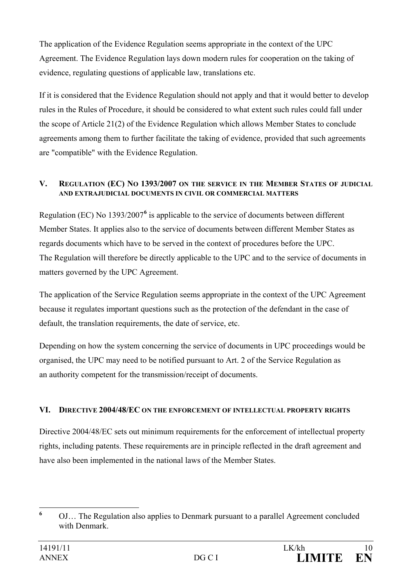The application of the Evidence Regulation seems appropriate in the context of the UPC Agreement. The Evidence Regulation lays down modern rules for cooperation on the taking of evidence, regulating questions of applicable law, translations etc.

If it is considered that the Evidence Regulation should not apply and that it would better to develop rules in the Rules of Procedure, it should be considered to what extent such rules could fall under the scope of Article 21(2) of the Evidence Regulation which allows Member States to conclude agreements among them to further facilitate the taking of evidence, provided that such agreements are "compatible" with the Evidence Regulation.

## **V. REGULATION (EC) NO 1393/2007 ON THE SERVICE IN THE MEMBER STATES OF JUDICIAL AND EXTRAJUDICIAL DOCUMENTS IN CIVIL OR COMMERCIAL MATTERS**

Regulation (EC) No 1393/2007**[6](#page-9-0)** is applicable to the service of documents between different Member States. It applies also to the service of documents between different Member States as regards documents which have to be served in the context of procedures before the UPC. The Regulation will therefore be directly applicable to the UPC and to the service of documents in matters governed by the UPC Agreement.

The application of the Service Regulation seems appropriate in the context of the UPC Agreement because it regulates important questions such as the protection of the defendant in the case of default, the translation requirements, the date of service, etc.

Depending on how the system concerning the service of documents in UPC proceedings would be organised, the UPC may need to be notified pursuant to Art. 2 of the Service Regulation as an authority competent for the transmission/receipt of documents.

## **VI. DIRECTIVE 2004/48/EC ON THE ENFORCEMENT OF INTELLECTUAL PROPERTY RIGHTS**

Directive 2004/48/EC sets out minimum requirements for the enforcement of intellectual property rights, including patents. These requirements are in principle reflected in the draft agreement and have also been implemented in the national laws of the Member States.

<span id="page-9-0"></span>**<sup>6</sup>** OJ… The Regulation also applies to Denmark pursuant to a parallel Agreement concluded with Denmark.